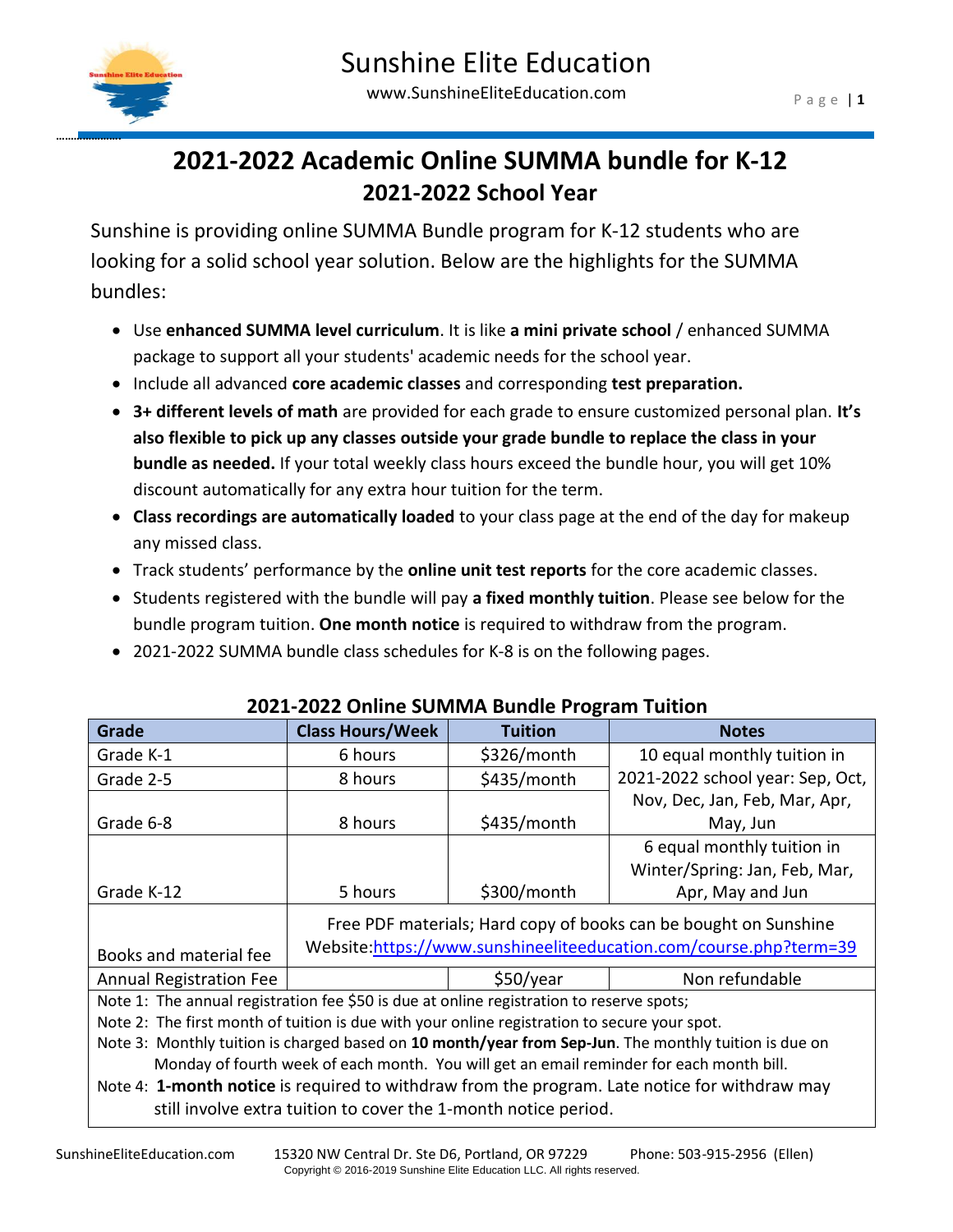

**………………….**

# **2021-2022 Academic Online SUMMA bundle for K-12 2021-2022 School Year**

Sunshine is providing online SUMMA Bundle program for K-12 students who are looking for a solid school year solution. Below are the highlights for the SUMMA bundles:

- Use **enhanced SUMMA level curriculum**. It is like **a mini private school** / enhanced SUMMA package to support all your students' academic needs for the school year.
- Include all advanced **core academic classes** and corresponding **test preparation.**
- **3+ different levels of math** are provided for each grade to ensure customized personal plan. **It's also flexible to pick up any classes outside your grade bundle to replace the class in your bundle as needed.** If your total weekly class hours exceed the bundle hour, you will get 10% discount automatically for any extra hour tuition for the term.
- **Class recordings are automatically loaded** to your class page at the end of the day for makeup any missed class.
- Track students' performance by the **online unit test reports** for the core academic classes.
- Students registered with the bundle will pay **a fixed monthly tuition**. Please see below for the bundle program tuition. **One month notice** is required to withdraw from the program.
- 2021-2022 SUMMA bundle class schedules for K-8 is on the following pages.

| Grade                                                                                                 | <b>Class Hours/Week</b>                                                                                                               | <b>Tuition</b> | <b>Notes</b>                     |
|-------------------------------------------------------------------------------------------------------|---------------------------------------------------------------------------------------------------------------------------------------|----------------|----------------------------------|
| Grade K-1                                                                                             | 6 hours                                                                                                                               | \$326/month    | 10 equal monthly tuition in      |
| Grade 2-5                                                                                             | 8 hours                                                                                                                               | \$435/month    | 2021-2022 school year: Sep, Oct, |
|                                                                                                       |                                                                                                                                       |                | Nov, Dec, Jan, Feb, Mar, Apr,    |
| Grade 6-8                                                                                             | 8 hours                                                                                                                               | \$435/month    | May, Jun                         |
|                                                                                                       |                                                                                                                                       |                | 6 equal monthly tuition in       |
|                                                                                                       |                                                                                                                                       |                | Winter/Spring: Jan, Feb, Mar,    |
| Grade K-12                                                                                            | 5 hours                                                                                                                               | \$300/month    | Apr, May and Jun                 |
| Books and material fee                                                                                | Free PDF materials; Hard copy of books can be bought on Sunshine<br>Website.https://www.sunshineeliteeducation.com/course.php?term=39 |                |                                  |
| <b>Annual Registration Fee</b>                                                                        |                                                                                                                                       | \$50/year      | Non refundable                   |
| Note 1: The annual registration fee \$50 is due at online registration to reserve spots;              |                                                                                                                                       |                |                                  |
| Note 2: The first month of tuition is due with your online registration to secure your spot.          |                                                                                                                                       |                |                                  |
| Note 3: Monthly tuition is charged based on 10 month/year from Sep-Jun. The monthly tuition is due on |                                                                                                                                       |                |                                  |
| Monday of fourth week of each month. You will get an email reminder for each month bill.              |                                                                                                                                       |                |                                  |
| Note 4: 1-month notice is required to withdraw from the program. Late notice for withdraw may         |                                                                                                                                       |                |                                  |
| still involve extra tuition to cover the 1-month notice period.                                       |                                                                                                                                       |                |                                  |

#### **2021-2022 Online SUMMA Bundle Program Tuition**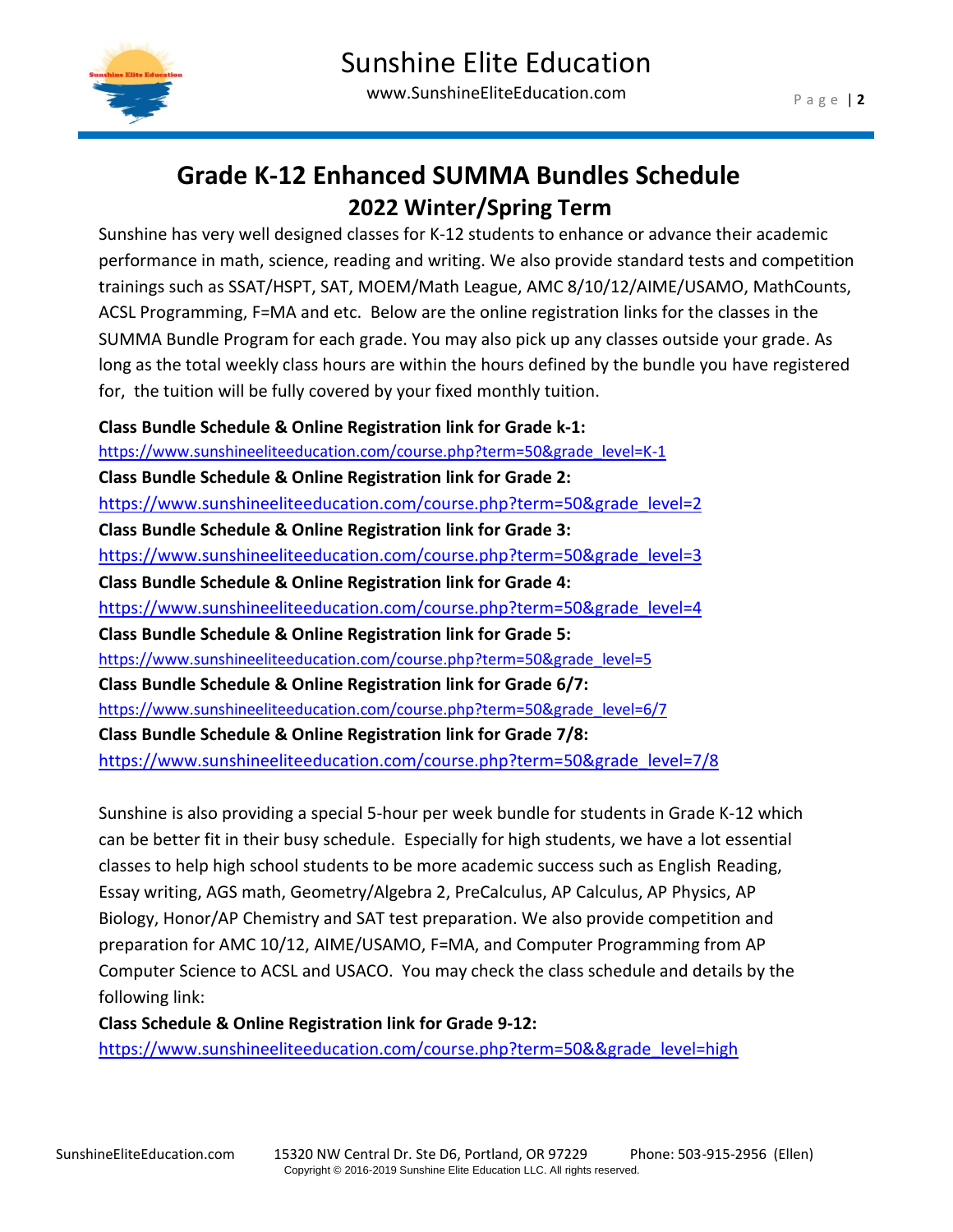

## **Grade K-12 Enhanced SUMMA Bundles Schedule 2022 Winter/Spring Term**

Sunshine has very well designed classes for K-12 students to enhance or advance their academic performance in math, science, reading and writing. We also provide standard tests and competition trainings such as SSAT/HSPT, SAT, MOEM/Math League, AMC 8/10/12/AIME/USAMO, MathCounts, ACSL Programming, F=MA and etc. Below are the online registration links for the classes in the SUMMA Bundle Program for each grade. You may also pick up any classes outside your grade. As long as the total weekly class hours are within the hours defined by the bundle you have registered for, the tuition will be fully covered by your fixed monthly tuition.

**Class Bundle Schedule & Online Registration link for Grade k-1:** [https://www.sunshineeliteeducation.com/course.php?term=50&grade\\_level=K-1](https://www.sunshineeliteeducation.com/course.php?term=50&grade_level=K-1) **Class Bundle Schedule & Online Registration link for Grade 2:** [https://www.sunshineeliteeducation.com/course.php?term=50&grade\\_level=2](https://www.sunshineeliteeducation.com/course.php?term=50&grade_level=2) **Class Bundle Schedule & Online Registration link for Grade 3:** [https://www.sunshineeliteeducation.com/course.php?term=50&grade\\_level=3](https://www.sunshineeliteeducation.com/course.php?term=50&grade_level=3) **Class Bundle Schedule & Online Registration link for Grade 4:** [https://www.sunshineeliteeducation.com/course.php?term=50&grade\\_level=4](https://www.sunshineeliteeducation.com/course.php?term=50&grade_level=4) **Class Bundle Schedule & Online Registration link for Grade 5:** [https://www.sunshineeliteeducation.com/course.php?term=50&grade\\_level=5](https://www.sunshineeliteeducation.com/course.php?term=50&grade_level=5) **Class Bundle Schedule & Online Registration link for Grade 6/7:** [https://www.sunshineeliteeducation.com/course.php?term=50&grade\\_level=6/7](https://www.sunshineeliteeducation.com/course.php?term=50&grade_level=6/7) **Class Bundle Schedule & Online Registration link for Grade 7/8:**

[https://www.sunshineeliteeducation.com/course.php?term=50&grade\\_level=7/8](https://www.sunshineeliteeducation.com/course.php?term=50&grade_level=7/8)

Sunshine is also providing a special 5-hour per week bundle for students in Grade K-12 which can be better fit in their busy schedule. Especially for high students, we have a lot essential classes to help high school students to be more academic success such as English Reading, Essay writing, AGS math, Geometry/Algebra 2, PreCalculus, AP Calculus, AP Physics, AP Biology, Honor/AP Chemistry and SAT test preparation. We also provide competition and preparation for AMC 10/12, AIME/USAMO, F=MA, and Computer Programming from AP Computer Science to ACSL and USACO. You may check the class schedule and details by the following link:

**Class Schedule & Online Registration link for Grade 9-12:**

[https://www.sunshineeliteeducation.com/course.php?term=50&&grade\\_level=high](https://www.sunshineeliteeducation.com/course.php?term=50&&grade_level=high)